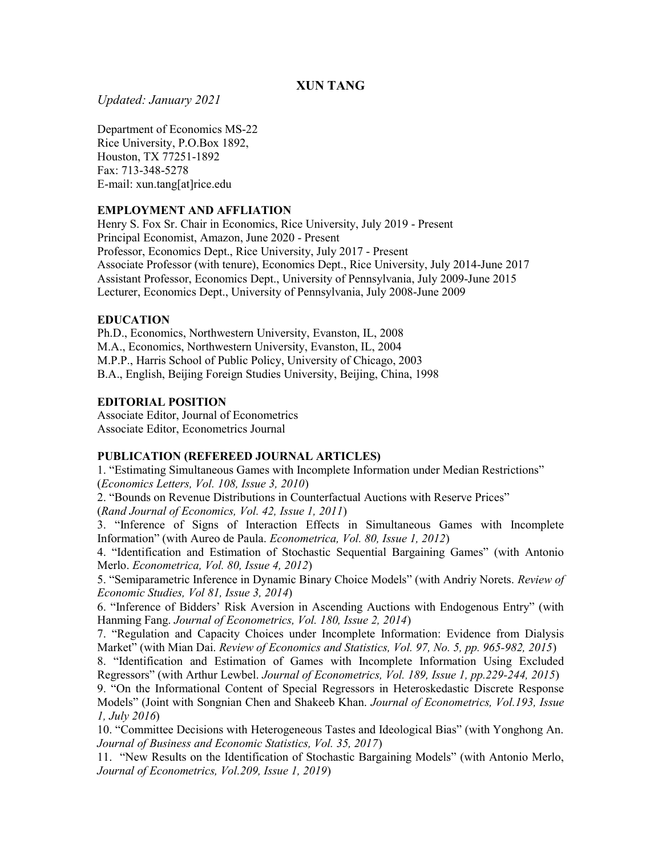# XUN TANG

# Updated: January 2021

Department of Economics MS-22 Rice University, P.O.Box 1892, Houston, TX 77251-1892 Fax: 713-348-5278 E-mail: xun.tang[at]rice.edu

# EMPLOYMENT AND AFFLIATION

Henry S. Fox Sr. Chair in Economics, Rice University, July 2019 - Present Principal Economist, Amazon, June 2020 - Present Professor, Economics Dept., Rice University, July 2017 - Present Associate Professor (with tenure), Economics Dept., Rice University, July 2014-June 2017 Assistant Professor, Economics Dept., University of Pennsylvania, July 2009-June 2015 Lecturer, Economics Dept., University of Pennsylvania, July 2008-June 2009

# **EDUCATION**

Ph.D., Economics, Northwestern University, Evanston, IL, 2008 M.A., Economics, Northwestern University, Evanston, IL, 2004 M.P.P., Harris School of Public Policy, University of Chicago, 2003 B.A., English, Beijing Foreign Studies University, Beijing, China, 1998

# EDITORIAL POSITION

Associate Editor, Journal of Econometrics Associate Editor, Econometrics Journal

# PUBLICATION (REFEREED JOURNAL ARTICLES)

1. "Estimating Simultaneous Games with Incomplete Information under Median Restrictions" (Economics Letters, Vol. 108, Issue 3, 2010)

2. "Bounds on Revenue Distributions in Counterfactual Auctions with Reserve Prices"

(Rand Journal of Economics, Vol. 42, Issue 1, 2011)

3. "Inference of Signs of Interaction Effects in Simultaneous Games with Incomplete Information" (with Aureo de Paula. Econometrica, Vol. 80, Issue 1, 2012)

4. "Identification and Estimation of Stochastic Sequential Bargaining Games" (with Antonio Merlo. Econometrica, Vol. 80, Issue 4, 2012)

5. "Semiparametric Inference in Dynamic Binary Choice Models" (with Andriy Norets. Review of Economic Studies, Vol 81, Issue 3, 2014)

6. "Inference of Bidders' Risk Aversion in Ascending Auctions with Endogenous Entry" (with Hanming Fang. Journal of Econometrics, Vol. 180, Issue 2, 2014)

7. "Regulation and Capacity Choices under Incomplete Information: Evidence from Dialysis Market" (with Mian Dai. Review of Economics and Statistics, Vol. 97, No. 5, pp. 965-982, 2015)

8. "Identification and Estimation of Games with Incomplete Information Using Excluded Regressors" (with Arthur Lewbel. Journal of Econometrics, Vol. 189, Issue 1, pp.229-244, 2015) 9. "On the Informational Content of Special Regressors in Heteroskedastic Discrete Response Models" (Joint with Songnian Chen and Shakeeb Khan. Journal of Econometrics, Vol.193, Issue 1, July 2016)

10. "Committee Decisions with Heterogeneous Tastes and Ideological Bias" (with Yonghong An. Journal of Business and Economic Statistics, Vol. 35, 2017)

11. "New Results on the Identification of Stochastic Bargaining Models" (with Antonio Merlo, Journal of Econometrics, Vol.209, Issue 1, 2019)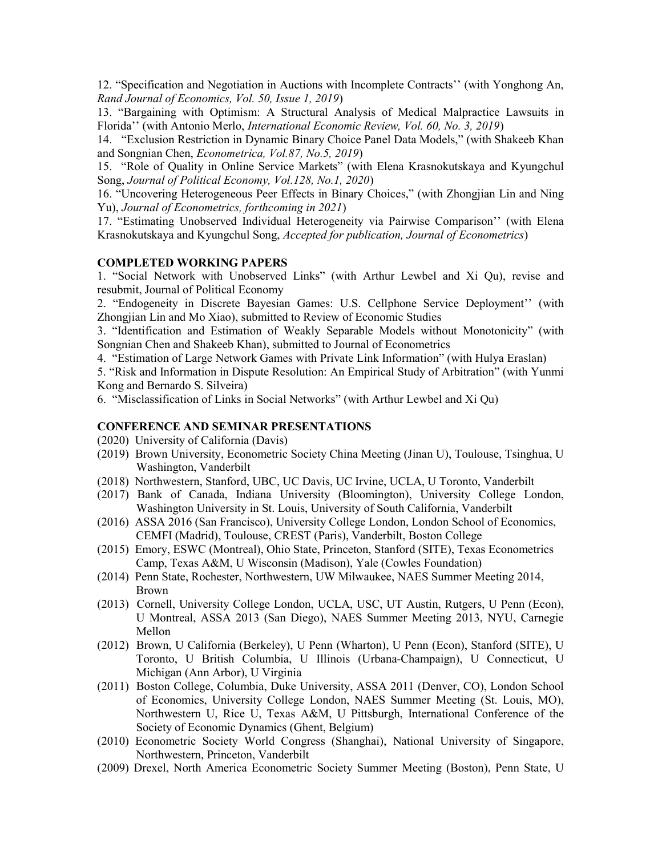12. "Specification and Negotiation in Auctions with Incomplete Contracts'' (with Yonghong An, Rand Journal of Economics, Vol. 50, Issue 1, 2019)

13. "Bargaining with Optimism: A Structural Analysis of Medical Malpractice Lawsuits in Florida'' (with Antonio Merlo, International Economic Review, Vol. 60, No. 3, 2019)

14. "Exclusion Restriction in Dynamic Binary Choice Panel Data Models," (with Shakeeb Khan and Songnian Chen, Econometrica, Vol.87, No.5, 2019)

15. "Role of Quality in Online Service Markets" (with Elena Krasnokutskaya and Kyungchul Song, Journal of Political Economy, Vol.128, No.1, 2020)

16. "Uncovering Heterogeneous Peer Effects in Binary Choices," (with Zhongjian Lin and Ning Yu), Journal of Econometrics, forthcoming in 2021)

17. "Estimating Unobserved Individual Heterogeneity via Pairwise Comparison'' (with Elena Krasnokutskaya and Kyungchul Song, Accepted for publication, Journal of Econometrics)

### COMPLETED WORKING PAPERS

1. "Social Network with Unobserved Links" (with Arthur Lewbel and Xi Qu), revise and resubmit, Journal of Political Economy

2. "Endogeneity in Discrete Bayesian Games: U.S. Cellphone Service Deployment'' (with Zhongjian Lin and Mo Xiao), submitted to Review of Economic Studies

3. "Identification and Estimation of Weakly Separable Models without Monotonicity" (with Songnian Chen and Shakeeb Khan), submitted to Journal of Econometrics

4. "Estimation of Large Network Games with Private Link Information" (with Hulya Eraslan)

5. "Risk and Information in Dispute Resolution: An Empirical Study of Arbitration" (with Yunmi Kong and Bernardo S. Silveira)

6. "Misclassification of Links in Social Networks" (with Arthur Lewbel and Xi Qu)

#### CONFERENCE AND SEMINAR PRESENTATIONS

(2020) University of California (Davis)

- (2019) Brown University, Econometric Society China Meeting (Jinan U), Toulouse, Tsinghua, U Washington, Vanderbilt
- (2018) Northwestern, Stanford, UBC, UC Davis, UC Irvine, UCLA, U Toronto, Vanderbilt
- (2017) Bank of Canada, Indiana University (Bloomington), University College London, Washington University in St. Louis, University of South California, Vanderbilt
- (2016) ASSA 2016 (San Francisco), University College London, London School of Economics, CEMFI (Madrid), Toulouse, CREST (Paris), Vanderbilt, Boston College
- (2015) Emory, ESWC (Montreal), Ohio State, Princeton, Stanford (SITE), Texas Econometrics Camp, Texas A&M, U Wisconsin (Madison), Yale (Cowles Foundation)
- (2014) Penn State, Rochester, Northwestern, UW Milwaukee, NAES Summer Meeting 2014, Brown
- (2013) Cornell, University College London, UCLA, USC, UT Austin, Rutgers, U Penn (Econ), U Montreal, ASSA 2013 (San Diego), NAES Summer Meeting 2013, NYU, Carnegie Mellon
- (2012) Brown, U California (Berkeley), U Penn (Wharton), U Penn (Econ), Stanford (SITE), U Toronto, U British Columbia, U Illinois (Urbana-Champaign), U Connecticut, U Michigan (Ann Arbor), U Virginia
- (2011) Boston College, Columbia, Duke University, ASSA 2011 (Denver, CO), London School of Economics, University College London, NAES Summer Meeting (St. Louis, MO), Northwestern U, Rice U, Texas A&M, U Pittsburgh, International Conference of the Society of Economic Dynamics (Ghent, Belgium)
- (2010) Econometric Society World Congress (Shanghai), National University of Singapore, Northwestern, Princeton, Vanderbilt
- (2009) Drexel, North America Econometric Society Summer Meeting (Boston), Penn State, U